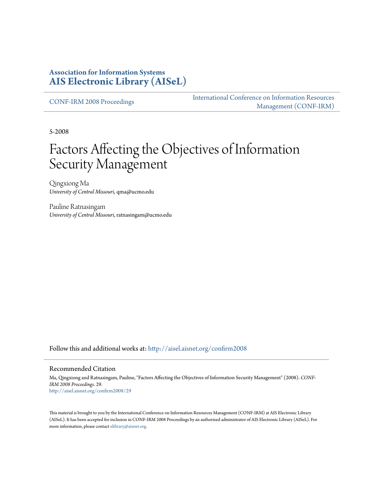## **Association for Information Systems [AIS Electronic Library \(AISeL\)](http://aisel.aisnet.org?utm_source=aisel.aisnet.org%2Fconfirm2008%2F29&utm_medium=PDF&utm_campaign=PDFCoverPages)**

[CONF-IRM 2008 Proceedings](http://aisel.aisnet.org/confirm2008?utm_source=aisel.aisnet.org%2Fconfirm2008%2F29&utm_medium=PDF&utm_campaign=PDFCoverPages)

[International Conference on Information Resources](http://aisel.aisnet.org/conf-irm?utm_source=aisel.aisnet.org%2Fconfirm2008%2F29&utm_medium=PDF&utm_campaign=PDFCoverPages) [Management \(CONF-IRM\)](http://aisel.aisnet.org/conf-irm?utm_source=aisel.aisnet.org%2Fconfirm2008%2F29&utm_medium=PDF&utm_campaign=PDFCoverPages)

5-2008

# Factors Affecting the Objectives of Information Security Management

Qingxiong Ma *University of Central Missouri*, qma@ucmo.edu

Pauline Ratnasingam *University of Central Missouri*, ratnasingam@ucmo.edu

Follow this and additional works at: [http://aisel.aisnet.org/confirm2008](http://aisel.aisnet.org/confirm2008?utm_source=aisel.aisnet.org%2Fconfirm2008%2F29&utm_medium=PDF&utm_campaign=PDFCoverPages)

#### Recommended Citation

Ma, Qingxiong and Ratnasingam, Pauline, "Factors Affecting the Objectives of Information Security Management" (2008). *CONF-IRM 2008 Proceedings*. 29. [http://aisel.aisnet.org/confirm2008/29](http://aisel.aisnet.org/confirm2008/29?utm_source=aisel.aisnet.org%2Fconfirm2008%2F29&utm_medium=PDF&utm_campaign=PDFCoverPages)

This material is brought to you by the International Conference on Information Resources Management (CONF-IRM) at AIS Electronic Library (AISeL). It has been accepted for inclusion in CONF-IRM 2008 Proceedings by an authorized administrator of AIS Electronic Library (AISeL). For more information, please contact [elibrary@aisnet.org.](mailto:elibrary@aisnet.org%3E)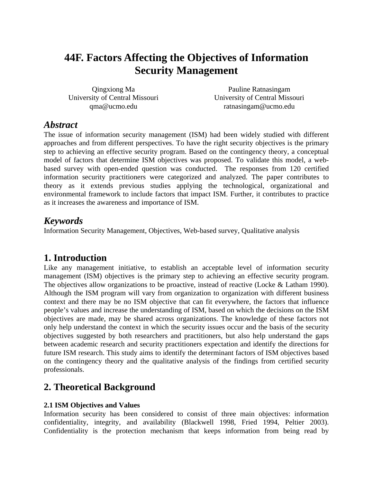## **44F. Factors Affecting the Objectives of Information Security Management**

Qingxiong Ma University of Central Missouri qma@ucmo.edu

Pauline Ratnasingam University of Central Missouri ratnasingam@ucmo.edu

## *Abstract*

The issue of information security management (ISM) had been widely studied with different approaches and from different perspectives. To have the right security objectives is the primary step to achieving an effective security program. Based on the contingency theory, a conceptual model of factors that determine ISM objectives was proposed. To validate this model, a webbased survey with open-ended question was conducted. The responses from 120 certified information security practitioners were categorized and analyzed. The paper contributes to theory as it extends previous studies applying the technological, organizational and environmental framework to include factors that impact ISM. Further, it contributes to practice as it increases the awareness and importance of ISM.

## *Keywords*

Information Security Management, Objectives, Web-based survey, Qualitative analysis

## **1. Introduction**

Like any management initiative, to establish an acceptable level of information security management (ISM) objectives is the primary step to achieving an effective security program. The objectives allow organizations to be proactive, instead of reactive (Locke & Latham 1990). Although the ISM program will vary from organization to organization with different business context and there may be no ISM objective that can fit everywhere, the factors that influence people's values and increase the understanding of ISM, based on which the decisions on the ISM objectives are made, may be shared across organizations. The knowledge of these factors not only help understand the context in which the security issues occur and the basis of the security objectives suggested by both researchers and practitioners, but also help understand the gaps between academic research and security practitioners expectation and identify the directions for future ISM research. This study aims to identify the determinant factors of ISM objectives based on the contingency theory and the qualitative analysis of the findings from certified security professionals.

## **2. Theoretical Background**

#### **2.1 ISM Objectives and Values**

Information security has been considered to consist of three main objectives: information confidentiality, integrity, and availability (Blackwell 1998, Fried 1994, Peltier 2003). Confidentiality is the protection mechanism that keeps information from being read by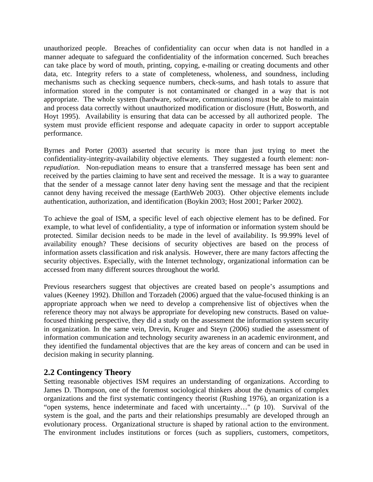unauthorized people. Breaches of confidentiality can occur when data is not handled in a manner adequate to safeguard the confidentiality of the information concerned. Such breaches can take place by word of mouth, printing, copying, e-mailing or creating documents and other data, etc. Integrity refers to a state of completeness, wholeness, and soundness, including mechanisms such as checking sequence numbers, check-sums, and hash totals to assure that information stored in the computer is not contaminated or changed in a way that is not appropriate. The whole system (hardware, software, communications) must be able to maintain and process data correctly without unauthorized modification or disclosure (Hutt, Bosworth, and Hoyt 1995). Availability is ensuring that data can be accessed by all authorized people. The system must provide efficient response and adequate capacity in order to support acceptable performance.

Byrnes and Porter (2003) asserted that security is more than just trying to meet the confidentiality-integrity-availability objective elements. They suggested a fourth element: *nonrepudiation*. Non-repudiation means to ensure that a transferred message has been sent and received by the parties claiming to have sent and received the message. It is a way to guarantee that the sender of a message cannot later deny having sent the message and that the recipient cannot deny having received the message (EarthWeb 2003). Other objective elements include authentication, authorization, and identification (Boykin 2003; Host 2001; Parker 2002).

To achieve the goal of ISM, a specific level of each objective element has to be defined. For example, to what level of confidentiality, a type of information or information system should be protected. Similar decision needs to be made in the level of availability. Is 99.99% level of availability enough? These decisions of security objectives are based on the process of information assets classification and risk analysis. However, there are many factors affecting the security objectives. Especially, with the Internet technology, organizational information can be accessed from many different sources throughout the world.

Previous researchers suggest that objectives are created based on people's assumptions and values (Keeney 1992). Dhillon and Torzadeh (2006) argued that the value-focused thinking is an appropriate approach when we need to develop a comprehensive list of objectives when the reference theory may not always be appropriate for developing new constructs. Based on valuefocused thinking perspective, they did a study on the assessment the information system security in organization. In the same vein, Drevin, Kruger and Steyn (2006) studied the assessment of information communication and technology security awareness in an academic environment, and they identified the fundamental objectives that are the key areas of concern and can be used in decision making in security planning.

#### **2.2 Contingency Theory**

Setting reasonable objectives ISM requires an understanding of organizations. According to James D. Thompson, one of the foremost sociological thinkers about the dynamics of complex organizations and the first systematic contingency theorist (Rushing 1976), an organization is a "open systems, hence indeterminate and faced with uncertainty…" (p 10). Survival of the system is the goal, and the parts and their relationships presumably are developed through an evolutionary process. Organizational structure is shaped by rational action to the environment. The environment includes institutions or forces (such as suppliers, customers, competitors,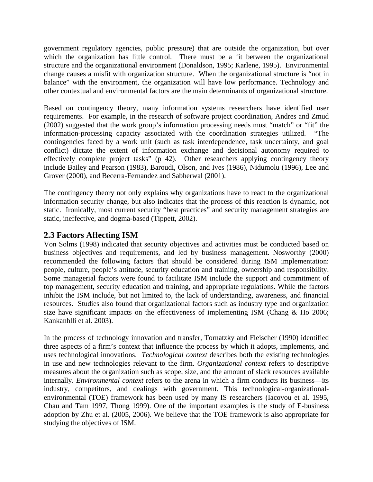government regulatory agencies, public pressure) that are outside the organization, but over which the organization has little control. There must be a fit between the organizational structure and the organizational environment (Donaldson, 1995; Karlene, 1995). Environmental change causes a misfit with organization structure. When the organizational structure is "not in balance" with the environment, the organization will have low performance. Technology and other contextual and environmental factors are the main determinants of organizational structure.

Based on contingency theory, many information systems researchers have identified user requirements. For example, in the research of software project coordination, Andres and Zmud (2002) suggested that the work group's information processing needs must "match" or "fit" the information-processing capacity associated with the coordination strategies utilized. "The contingencies faced by a work unit (such as task interdependence, task uncertainty, and goal conflict) dictate the extent of information exchange and decisional autonomy required to effectively complete project tasks" (p 42). Other researchers applying contingency theory include Bailey and Pearson (1983), Baroudi, Olson, and Ives (1986), Nidumolu (1996), Lee and Grover (2000), and Becerra-Fernandez and Sabherwal (2001).

The contingency theory not only explains why organizations have to react to the organizational information security change, but also indicates that the process of this reaction is dynamic, not static. Ironically, most current security "best practices" and security management strategies are static, ineffective, and dogma-based (Tippett, 2002).

#### **2.3 Factors Affecting ISM**

Von Solms (1998) indicated that security objectives and activities must be conducted based on business objectives and requirements, and led by business management. Nosworthy (2000) recommended the following factors that should be considered during ISM implementation: people, culture, people's attitude, security education and training, ownership and responsibility. Some managerial factors were found to facilitate ISM include the support and commitment of top management, security education and training, and appropriate regulations. While the factors inhibit the ISM include, but not limited to, the lack of understanding, awareness, and financial resources. Studies also found that organizational factors such as industry type and organization size have significant impacts on the effectiveness of implementing ISM (Chang  $\&$  Ho 2006; Kankanhlli et al. 2003).

In the process of technology innovation and transfer, Tornatzky and Fleischer (1990) identified three aspects of a firm's context that influence the process by which it adopts, implements, and uses technological innovations. *Technological context* describes both the existing technologies in use and new technologies relevant to the firm. *Organizational context* refers to descriptive measures about the organization such as scope, size, and the amount of slack resources available internally. *Environmental context* refers to the arena in which a firm conducts its business—its industry, competitors, and dealings with government. This technological-organizationalenvironmental (TOE) framework has been used by many IS researchers (Iacovou et al. 1995, Chau and Tam 1997, Thong 1999). One of the important examples is the study of E-business adoption by Zhu et al. (2005, 2006). We believe that the TOE framework is also appropriate for studying the objectives of ISM.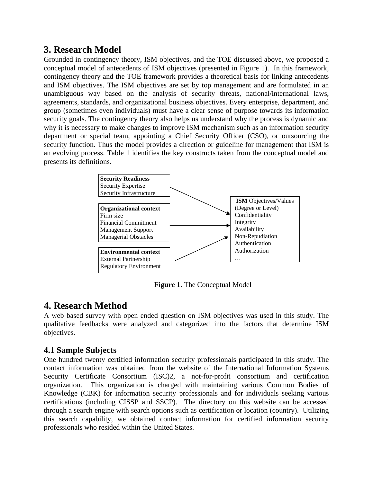## **3. Research Model**

Grounded in contingency theory, ISM objectives, and the TOE discussed above, we proposed a conceptual model of antecedents of ISM objectives (presented in Figure 1). In this framework, contingency theory and the TOE framework provides a theoretical basis for linking antecedents and ISM objectives. The ISM objectives are set by top management and are formulated in an unambiguous way based on the analysis of security threats, national/international laws, agreements, standards, and organizational business objectives. Every enterprise, department, and group (sometimes even individuals) must have a clear sense of purpose towards its information security goals. The contingency theory also helps us understand why the process is dynamic and why it is necessary to make changes to improve ISM mechanism such as an information security department or special team, appointing a Chief Security Officer (CSO), or outsourcing the security function. Thus the model provides a direction or guideline for management that ISM is an evolving process. Table 1 identifies the key constructs taken from the conceptual model and presents its definitions.



**Figure 1**. The Conceptual Model

## **4. Research Method**

A web based survey with open ended question on ISM objectives was used in this study. The qualitative feedbacks were analyzed and categorized into the factors that determine ISM objectives.

### **4.1 Sample Subjects**

One hundred twenty certified information security professionals participated in this study. The contact information was obtained from the website of the International Information Systems Security Certificate Consortium (ISC)2, a not-for-profit consortium and certification organization. This organization is charged with maintaining various Common Bodies of Knowledge (CBK) for information security professionals and for individuals seeking various certifications (including CISSP and SSCP). The directory on this website can be accessed through a search engine with search options such as certification or location (country). Utilizing this search capability, we obtained contact information for certified information security professionals who resided within the United States.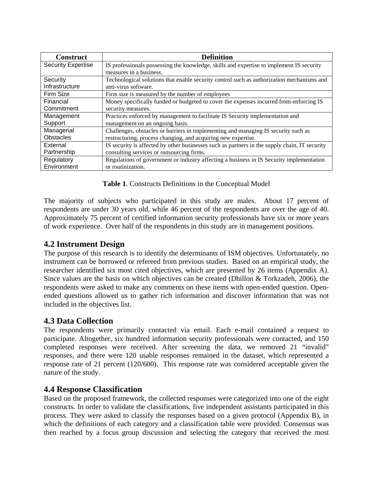| <b>Construct</b>          | <b>Definition</b>                                                                             |
|---------------------------|-----------------------------------------------------------------------------------------------|
| <b>Security Expertise</b> | IS professionals possessing the knowledge, skills and expertise to implement IS security      |
|                           | measures in a business.                                                                       |
| Security                  | Technological solutions that enable security control such as authorization mechanisms and     |
| Infrastructure            | anti-virus software.                                                                          |
| Firm Size                 | Firm size is measured by the number of employees                                              |
| Financial                 | Money specifically funded or budgeted to cover the expenses incurred from enforcing IS        |
| Commitment                | security measures.                                                                            |
| Management                | Practices enforced by management to facilitate IS Security implementation and                 |
| Support                   | management on an ongoing basis.                                                               |
| Managerial                | Challenges, obstacles or barriers in implementing and managing IS security such as            |
| <b>Obstacles</b>          | restructuring, process changing, and acquiring new expertise.                                 |
| External                  | IS security is affected by other businesses such as partners in the supply chain, IT security |
| Partnership               | consulting services or outsourcing firms.                                                     |
| Regulatory                | Regulations of government or industry affecting a business in IS Security implementation      |
| Environment               | or routinization.                                                                             |

**Table 1**. Constructs Definitions in the Conceptual Model

The majority of subjects who participated in this study are males. About 17 percent of respondents are under 30 years old, while 46 percent of the respondents are over the age of 40. Approximately 75 percent of certified information security professionals have six or more years of work experience. Over half of the respondents in this study are in management positions.

### **4.2 Instrument Design**

The purpose of this research is to identify the determinants of ISM objectives. Unfortunately, no instrument can be borrowed or refereed from previous studies. Based on an empirical study, the researcher identified six most cited objectives, which are presented by 26 items (Appendix A). Since values are the basis on which objectives can be created (Dhillon & Torkzadeh, 2006), the respondents were asked to make any comments on these items with open-ended question. Openended questions allowed us to gather rich information and discover information that was not included in the objectives list.

### **4.3 Data Collection**

The respondents were primarily contacted via email. Each e-mail contained a request to participate. Altogether, six hundred information security professionals were contacted, and 150 completed responses were received. After screening the data, we removed 21 "invalid" responses, and there were 120 usable responses remained in the dataset, which represented a response rate of 21 percent (120/600). This response rate was considered acceptable given the nature of the study.

### **4.4 Response Classification**

Based on the proposed framework, the collected responses were categorized into one of the eight constructs. In order to validate the classifications, five independent assistants participated in this process. They were asked to classify the responses based on a given protocol (Appendix B), in which the definitions of each category and a classification table were provided. Consensus was then reached by a focus group discussion and selecting the category that received the most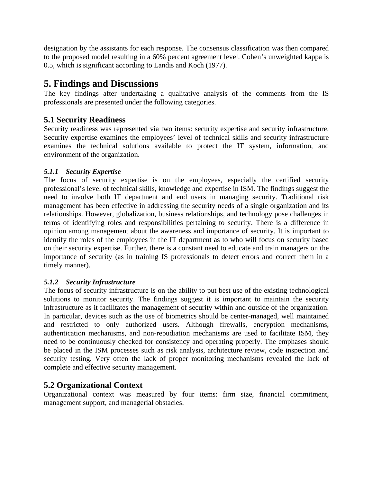designation by the assistants for each response. The consensus classification was then compared to the proposed model resulting in a 60% percent agreement level. Cohen's unweighted kappa is 0.5, which is significant according to Landis and Koch (1977).

## **5. Findings and Discussions**

The key findings after undertaking a qualitative analysis of the comments from the IS professionals are presented under the following categories.

## **5.1 Security Readiness**

Security readiness was represented via two items: security expertise and security infrastructure. Security expertise examines the employees' level of technical skills and security infrastructure examines the technical solutions available to protect the IT system, information, and environment of the organization.

#### *5.1.1 Security Expertise*

The focus of security expertise is on the employees, especially the certified security professional's level of technical skills, knowledge and expertise in ISM. The findings suggest the need to involve both IT department and end users in managing security. Traditional risk management has been effective in addressing the security needs of a single organization and its relationships. However, globalization, business relationships, and technology pose challenges in terms of identifying roles and responsibilities pertaining to security. There is a difference in opinion among management about the awareness and importance of security. It is important to identify the roles of the employees in the IT department as to who will focus on security based on their security expertise. Further, there is a constant need to educate and train managers on the importance of security (as in training IS professionals to detect errors and correct them in a timely manner).

#### *5.1.2 Security Infrastructure*

The focus of security infrastructure is on the ability to put best use of the existing technological solutions to monitor security. The findings suggest it is important to maintain the security infrastructure as it facilitates the management of security within and outside of the organization. In particular, devices such as the use of biometrics should be center-managed, well maintained and restricted to only authorized users. Although firewalls, encryption mechanisms, authentication mechanisms, and non-repudiation mechanisms are used to facilitate ISM, they need to be continuously checked for consistency and operating properly. The emphases should be placed in the ISM processes such as risk analysis, architecture review, code inspection and security testing. Very often the lack of proper monitoring mechanisms revealed the lack of complete and effective security management.

### **5.2 Organizational Context**

Organizational context was measured by four items: firm size, financial commitment, management support, and managerial obstacles.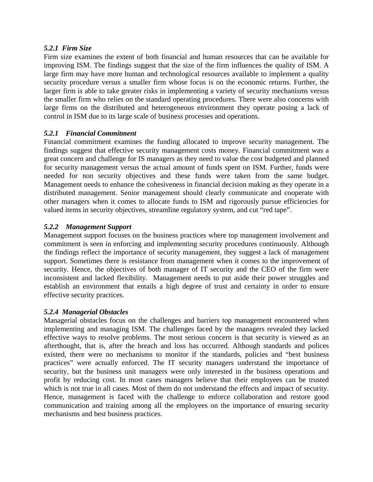#### *5.2.1 Firm Size*

Firm size examines the extent of both financial and human resources that can be available for improving ISM. The findings suggest that the size of the firm influences the quality of ISM. A large firm may have more human and technological resources available to implement a quality security procedure versus a smaller firm whose focus is on the economic returns. Further, the larger firm is able to take greater risks in implementing a variety of security mechanisms versus the smaller firm who relies on the standard operating procedures. There were also concerns with large firms on the distributed and heterogeneous environment they operate posing a lack of control in ISM due to its large scale of business processes and operations.

#### *5.2.1 Financial Commitment*

Financial commitment examines the funding allocated to improve security management. The findings suggest that effective security management costs money. Financial commitment was a great concern and challenge for IS managers as they need to value the cost budgeted and planned for security management versus the actual amount of funds spent on ISM. Further, funds were needed for non security objectives and these funds were taken from the same budget. Management needs to enhance the cohesiveness in financial decision making as they operate in a distributed management. Senior management should clearly communicate and cooperate with other managers when it comes to allocate funds to ISM and rigorously pursue efficiencies for valued items in security objectives, streamline regulatory system, and cut "red tape".

#### *5.2.2 Management Support*

Management support focuses on the business practices where top management involvement and commitment is seen in enforcing and implementing security procedures continuously. Although the findings reflect the importance of security management, they suggest a lack of management support. Sometimes there is resistance from management when it comes to the improvement of security. Hence, the objectives of both manager of IT security and the CEO of the firm were inconsistent and lacked flexibility. Management needs to put aside their power struggles and establish an environment that entails a high degree of trust and certainty in order to ensure effective security practices.

#### *5.2.4 Managerial Obstacles*

Managerial obstacles focus on the challenges and barriers top management encountered when implementing and managing ISM. The challenges faced by the managers revealed they lacked effective ways to resolve problems. The most serious concern is that security is viewed as an afterthought, that is, after the breach and loss has occurred. Although standards and polices existed, there were no mechanisms to monitor if the standards, policies and "best business practices" were actually enforced. The IT security managers understand the importance of security, but the business unit managers were only interested in the business operations and profit by reducing cost. In most cases managers believe that their employees can be trusted which is not true in all cases. Most of them do not understand the effects and impact of security. Hence, management is faced with the challenge to enforce collaboration and restore good communication and training among all the employees on the importance of ensuring security mechanisms and best business practices.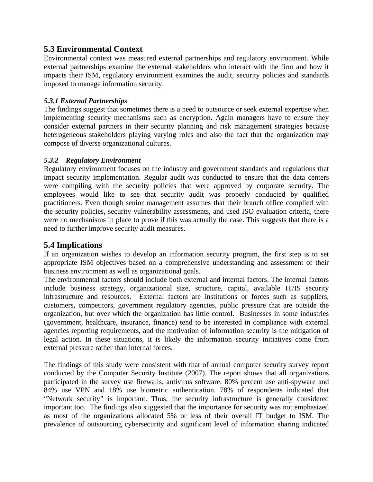## **5.3 Environmental Context**

Environmental context was measured external partnerships and regulatory environment. While external partnerships examine the external stakeholders who interact with the firm and how it impacts their ISM, regulatory environment examines the audit, security policies and standards imposed to manage information security.

#### *5.3.1 External Partnerships*

The findings suggest that sometimes there is a need to outsource or seek external expertise when implementing security mechanisms such as encryption. Again managers have to ensure they consider external partners in their security planning and risk management strategies because heterogeneous stakeholders playing varying roles and also the fact that the organization may compose of diverse organizational cultures.

#### *5.3.2 Regulatory Environment*

Regulatory environment focuses on the industry and government standards and regulations that impact security implementation. Regular audit was conducted to ensure that the data centers were compiling with the security policies that were approved by corporate security. The employees would like to see that security audit was properly conducted by qualified practitioners. Even though senior management assumes that their branch office complied with the security policies, security vulnerability assessments, and used ISO evaluation criteria, there were no mechanisms in place to prove if this was actually the case. This suggests that there is a need to further improve security audit measures.

## **5.4 Implications**

If an organization wishes to develop an information security program, the first step is to set appropriate ISM objectives based on a comprehensive understanding and assessment of their business environment as well as organizational goals.

The environmental factors should include both external and internal factors. The internal factors include business strategy, organizational size, structure, capital, available IT/IS security infrastructure and resources. External factors are institutions or forces such as suppliers, customers, competitors, government regulatory agencies, public pressure that are outside the organization, but over which the organization has little control. Businesses in some industries (government, healthcare, insurance, finance) tend to be interested in compliance with external agencies reporting requirements, and the motivation of information security is the mitigation of legal action. In these situations, it is likely the information security initiatives come from external pressure rather than internal forces.

The findings of this study were consistent with that of annual computer security survey report conducted by the Computer Security Institute (2007). The report shows that all organizations participated in the survey use firewalls, antivirus software, 80% percent use anti-spyware and 84% use VPN and 18% use biometric authentication. 78% of respondents indicated that "Network security" is important. Thus, the security infrastructure is generally considered important too. The findings also suggested that the importance for security was not emphasized as most of the organizations allocated 5% or less of their overall IT budget to ISM. The prevalence of outsourcing cybersecurity and significant level of information sharing indicated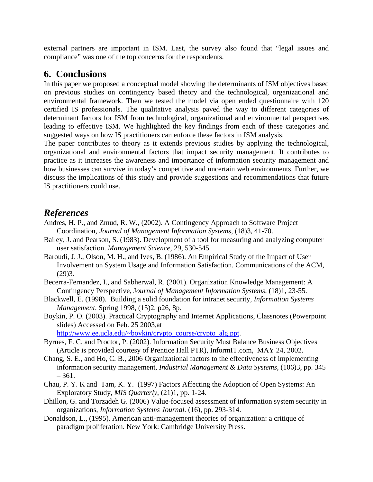external partners are important in ISM. Last, the survey also found that "legal issues and compliance" was one of the top concerns for the respondents.

## **6. Conclusions**

In this paper we proposed a conceptual model showing the determinants of ISM objectives based on previous studies on contingency based theory and the technological, organizational and environmental framework. Then we tested the model via open ended questionnaire with 120 certified IS professionals. The qualitative analysis paved the way to different categories of determinant factors for ISM from technological, organizational and environmental perspectives leading to effective ISM. We highlighted the key findings from each of these categories and suggested ways on how IS practitioners can enforce these factors in ISM analysis.

The paper contributes to theory as it extends previous studies by applying the technological, organizational and environmental factors that impact security management. It contributes to practice as it increases the awareness and importance of information security management and how businesses can survive in today's competitive and uncertain web environments. Further, we discuss the implications of this study and provide suggestions and recommendations that future IS practitioners could use.

## *References*

- Andres, H. P., and Zmud, R. W., (2002). A Contingency Approach to Software Project Coordination, *Journal of Management Information Systems*, (18)3, 41-70.
- Bailey, J. and Pearson, S. (1983). Development of a tool for measuring and analyzing computer user satisfaction. *Management Science,* 29, 530-545.
- Baroudi, J. J., Olson, M. H., and Ives, B. (1986). An Empirical Study of the Impact of User Involvement on System Usage and Information Satisfaction. Communications of the ACM, (29)3.
- Becerra-Fernandez, I., and Sabherwal, R. (2001). Organization Knowledge Management: A Contingency Perspective, J*ournal of Management Information Systems,* (18)1, 23-55.
- Blackwell, E. (1998). Building a solid foundation for intranet security, *Information Systems Management*, Spring 1998, (15)2, p26, 8p.
- Boykin, P. O. (2003). Practical Cryptography and Internet Applications, Classnotes (Powerpoint slides) Accessed on Feb. 25 2003,at

http://www.ee.ucla.edu/~boykin/crypto\_course/crypto\_alg.ppt.

- Byrnes, F. C. and Proctor, P. (2002). Information Security Must Balance Business Objectives (Article is provided courtesy of Prentice Hall PTR), InformIT.com, MAY 24, 2002.
- Chang, S. E., and Ho, C. B., 2006 Organizational factors to the effectiveness of implementing information security management, *Industrial Management & Data Systems*, (106)3, pp. 345  $-361.$
- Chau, P. Y. K and Tam, K. Y. (1997) Factors Affecting the Adoption of Open Systems: An Exploratory Study, *MIS Quarterly*, (21)1, pp. 1-24.
- Dhillon, G. and Torzadeh G. (2006) Value-focused assessment of information system security in organizations, *Information Systems Journal.* (16), pp. 293-314.
- Donaldson, L., (1995). American anti-management theories of organization: a critique of paradigm proliferation. New York: Cambridge University Press.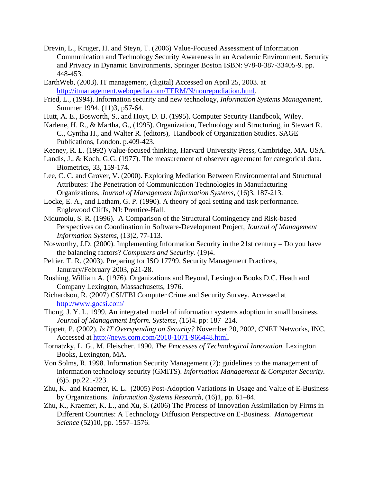- Drevin, L., Kruger, H. and Steyn, T. (2006) Value-Focused Assessment of Information Communication and Technology Security Awareness in an Academic Environment, Security and Privacy in Dynamic Environments, Springer Boston ISBN: 978-0-387-33405-9. pp. 448-453.
- EarthWeb, (2003). IT management, (digital) Accessed on April 25, 2003. at http://itmanagement.webopedia.com/TERM/N/nonrepudiation.html.
- Fried, L., (1994). Information security and new technology, *Information Systems Management*, Summer 1994, (11)3, p57-64.
- Hutt, A. E., Bosworth, S., and Hoyt, D. B. (1995). Computer Security Handbook, Wiley.
- Karlene, H. R., & Martha, G., (1995). Organization, Technology and Structuring, in Stewart R. C., Cyntha H., and Walter R. (editors), Handbook of Organization Studies. SAGE Publications, London. p.409-423.
- Keeney, R. L. (1992) Value-focused thinking. Harvard University Press, Cambridge, MA. USA.
- Landis, J., & Koch, G.G. (1977). The measurement of observer agreement for categorical data. Biometrics, 33, 159-174.
- Lee, C. C. and Grover, V. (2000). Exploring Mediation Between Environmental and Structural Attributes: The Penetration of Communication Technologies in Manufacturing Organizations, *Journal of Management Information Systems*, (16)3, 187-213.
- Locke, E. A., and Latham, G. P. (1990). A theory of goal setting and task performance. Englewood Cliffs, NJ: Prentice-Hall.
- Nidumolu, S. R. (1996). A Comparison of the Structural Contingency and Risk-based Perspectives on Coordination in Software-Development Project, *Journal of Management Information Systems*, (13)2, 77-113.
- Nosworthy, J.D. (2000). Implementing Information Security in the 21st century Do you have the balancing factors? *Computers and Security.* (19)4.
- Peltier, T. R. (2003). Preparing for ISO 17799, Security Management Practices, Janurary/February 2003, p21-28.
- Rushing, William A. (1976). Organizations and Beyond, Lexington Books D.C. Heath and Company Lexington, Massachusetts, 1976.
- Richardson, R. (2007) CSI/FBI Computer Crime and Security Survey. Accessed at http://www.gocsi.com/
- Thong, J. Y. L. 1999. An integrated model of information systems adoption in small business. *Journal of Management Inform. Systems,* (15)4. pp: 187–214.
- Tippett, P. (2002). *Is IT Overspending on Security?* November 20, 2002, CNET Networks, INC. Accessed at http://news.com.com/2010-1071-966448.html.
- Tornatzky, L. G., M. Fleischer. 1990. *The Processes of Technological Innovation.* Lexington Books, Lexington, MA.
- Von Solms, R. 1998. Information Security Management (2): guidelines to the management of information technology security (GMITS). *Information Management & Computer Security.* (6)5. pp.221-223.
- Zhu, K. and Kraemer, K. L. (2005) Post-Adoption Variations in Usage and Value of E-Business by Organizations. *Information Systems Research,* (16)1, pp. 61–84.
- Zhu, K., Kraemer, K. L., and Xu, S. (2006) The Process of Innovation Assimilation by Firms in Different Countries: A Technology Diffusion Perspective on E-Business. *Management Science* (52)10, pp. 1557–1576.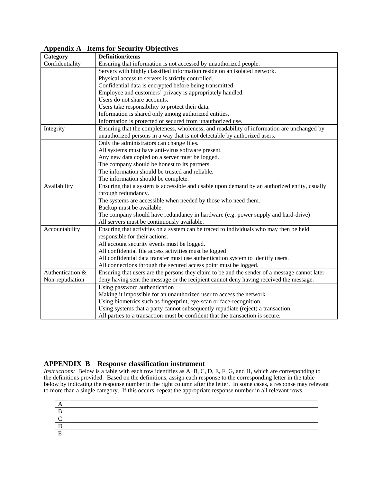| Category         | $\sim$ $\sim$ $\sim$ $\sim$ $\sim$ $\sim$<br><b>Definition/items</b>                          |
|------------------|-----------------------------------------------------------------------------------------------|
| Confidentiality  | Ensuring that information is not accessed by unauthorized people.                             |
|                  | Servers with highly classified information reside on an isolated network.                     |
|                  | Physical access to servers is strictly controlled.                                            |
|                  | Confidential data is encrypted before being transmitted.                                      |
|                  | Employee and customers' privacy is appropriately handled.                                     |
|                  | Users do not share accounts.                                                                  |
|                  | Users take responsibility to protect their data.                                              |
|                  | Information is shared only among authorized entities.                                         |
|                  | Information is protected or secured from unauthorized use.                                    |
| Integrity        | Ensuring that the completeness, wholeness, and readability of information are unchanged by    |
|                  | unauthorized persons in a way that is not detectable by authorized users.                     |
|                  | Only the administrators can change files.                                                     |
|                  | All systems must have anti-virus software present.                                            |
|                  | Any new data copied on a server must be logged.                                               |
|                  | The company should be honest to its partners.                                                 |
|                  | The information should be trusted and reliable.                                               |
|                  | The information should be complete.                                                           |
| Availability     | Ensuring that a system is accessible and usable upon demand by an authorized entity, usually  |
|                  | through redundancy.                                                                           |
|                  | The systems are accessible when needed by those who need them.                                |
|                  | Backup must be available.                                                                     |
|                  | The company should have redundancy in hardware (e.g. power supply and hard-drive)             |
|                  | All servers must be continuously available.                                                   |
| Accountability   | Ensuring that activities on a system can be traced to individuals who may then be held        |
|                  | responsible for their actions.                                                                |
|                  | All account security events must be logged.                                                   |
|                  | All confidential file access activities must be logged                                        |
|                  | All confidential data transfer must use authentication system to identify users.              |
|                  | All connections through the secured access point must be logged.                              |
| Authentication & | Ensuring that users are the persons they claim to be and the sender of a message cannot later |
| Non-repudiation  | deny having sent the message or the recipient cannot deny having received the message.        |
|                  | Using password authentication                                                                 |
|                  | Making it impossible for an unauthorized user to access the network.                          |
|                  | Using biometrics such as fingerprint, eye-scan or face-recognition.                           |
|                  | Using systems that a party cannot subsequently repudiate (reject) a transaction.              |
|                  | All parties to a transaction must be confident that the transaction is secure.                |

**Appendix A Items for Security Objectives** 

#### **APPENDIX B Response classification instrument**

*Instructions:* Below is a table with each row identifies as A, B, C, D, E, F, G, and H, which are corresponding to the definitions provided. Based on the definitions, assign each response to the corresponding letter in the table below by indicating the response number in the right column after the letter. In some cases, a response may relevant to more than a single category. If this occurs, repeat the appropriate response number in all relevant rows.